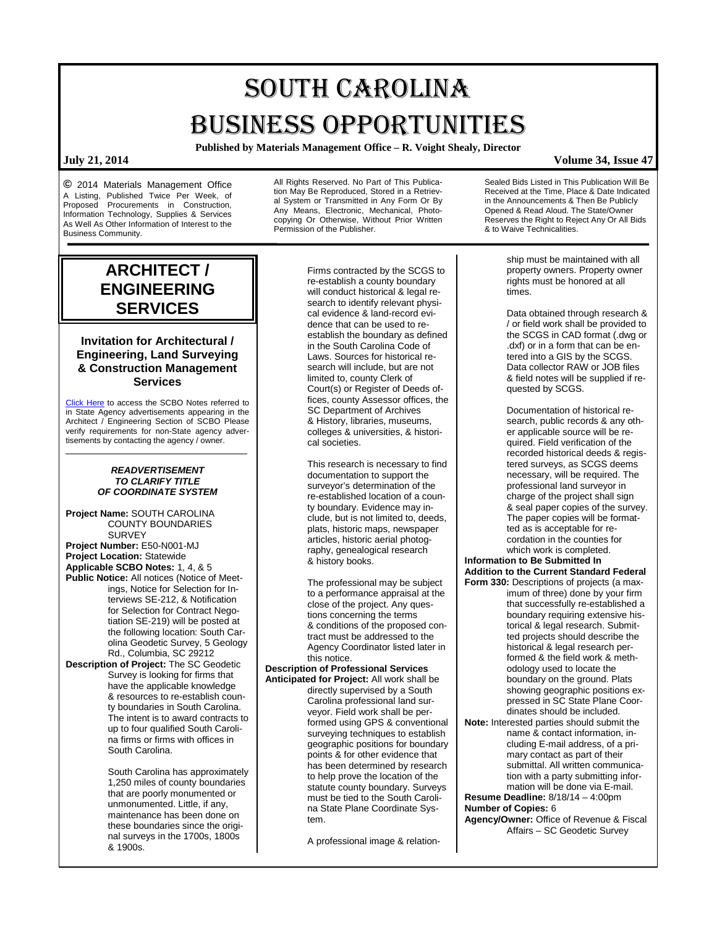# SOUTH CAROLINA BUSINESS OPPORTUNITIES

**Published by Materials Management Office – R. Voight Shealy, Director**

**©** 2014 Materials Management Office A Listing, Published Twice Per Week, of Proposed Procurements in Construction, Information Technology, Supplies & Services As Well As Other Information of Interest to the Business Community.

> **ARCHITECT / ENGINEERING SERVICES**

## **Invitation for Architectural / Engineering, Land Surveying & Construction Management Services**

[Click Here](http://www.mmo.sc.gov/PS/general/scbo/SCBO_Notes_060512.pdf) to access the SCBO Notes referred to in State Agency advertisements appearing in the Architect / Engineering Section of SCBO Please verify requirements for non-State agency advertisements by contacting the agency / owner.

## *READVERTISEMENT TO CLARIFY TITLE OF COORDINATE SYSTEM*

**Project Name:** SOUTH CAROLINA COUNTY BOUNDARIES SURVEY **Project Number:** E50-N001-MJ **Project Location:** Statewide **Applicable SCBO Notes:** 1, 4, & 5 **Public Notice:** All notices (Notice of Meetings, Notice for Selection for Interviews SE-212, & Notification for Selection for Contract Negotiation SE-219) will be posted at the following location: South Carolina Geodetic Survey, 5 Geology Rd., Columbia, SC 29212 **Description of Project:** The SC Geodetic

Survey is looking for firms that have the applicable knowledge & resources to re-establish county boundaries in South Carolina. The intent is to award contracts to up to four qualified South Carolina firms or firms with offices in South Carolina.

> South Carolina has approximately 1,250 miles of county boundaries that are poorly monumented or unmonumented. Little, if any, maintenance has been done on these boundaries since the original surveys in the 1700s, 1800s & 1900s.

All Rights Reserved. No Part of This Publication May Be Reproduced, Stored in a Retrieval System or Transmitted in Any Form Or By Any Means, Electronic, Mechanical, Photocopying Or Otherwise, Without Prior Written Permission of the Publisher.

> Firms contracted by the SCGS to re-establish a county boundary will conduct historical & legal research to identify relevant physical evidence & land-record evidence that can be used to reestablish the boundary as defined in the South Carolina Code of Laws. Sources for historical research will include, but are not limited to, county Clerk of Court(s) or Register of Deeds offices, county Assessor offices, the SC Department of Archives & History, libraries, museums, colleges & universities, & historical societies.

This research is necessary to find documentation to support the surveyor's determination of the re-established location of a county boundary. Evidence may include, but is not limited to, deeds, plats, historic maps, newspaper articles, historic aerial photography, genealogical research & history books.

The professional may be subject to a performance appraisal at the close of the project. Any questions concerning the terms & conditions of the proposed contract must be addressed to the Agency Coordinator listed later in this notice.

## **Description of Professional Services**

**Anticipated for Project:** All work shall be directly supervised by a South Carolina professional land surveyor. Field work shall be performed using GPS & conventional surveying techniques to establish geographic positions for boundary points & for other evidence that has been determined by research to help prove the location of the statute county boundary. Surveys must be tied to the South Carolina State Plane Coordinate System.

A professional image & relation-

**July 21, 2014 Volume 34, Issue 47**

Sealed Bids Listed in This Publication Will Be Received at the Time, Place & Date Indicated in the Announcements & Then Be Publicly Opened & Read Aloud. The State/Owner Reserves the Right to Reject Any Or All Bids & to Waive Technicalities.

> ship must be maintained with all property owners. Property owner rights must be honored at all times.

Data obtained through research & / or field work shall be provided to the SCGS in CAD format (.dwg or .dxf) or in a form that can be entered into a GIS by the SCGS. Data collector RAW or JOB files & field notes will be supplied if requested by SCGS.

Documentation of historical research, public records & any other applicable source will be required. Field verification of the recorded historical deeds & registered surveys, as SCGS deems necessary, will be required. The professional land surveyor in charge of the project shall sign & seal paper copies of the survey. The paper copies will be formatted as is acceptable for recordation in the counties for which work is completed.

### **Information to Be Submitted In Addition to the Current Standard Federal Form 330:** Descriptions of projects (a max-

imum of three) done by your firm that successfully re-established a boundary requiring extensive historical & legal research. Submitted projects should describe the historical & legal research performed & the field work & methodology used to locate the boundary on the ground. Plats showing geographic positions expressed in SC State Plane Coordinates should be included.

**Note:** Interested parties should submit the name & contact information, including E-mail address, of a primary contact as part of their submittal. All written communication with a party submitting information will be done via E-mail.

**Resume Deadline:** 8/18/14 – 4:00pm **Number of Copies:** 6

**Agency/Owner:** Office of Revenue & Fiscal Affairs – SC Geodetic Survey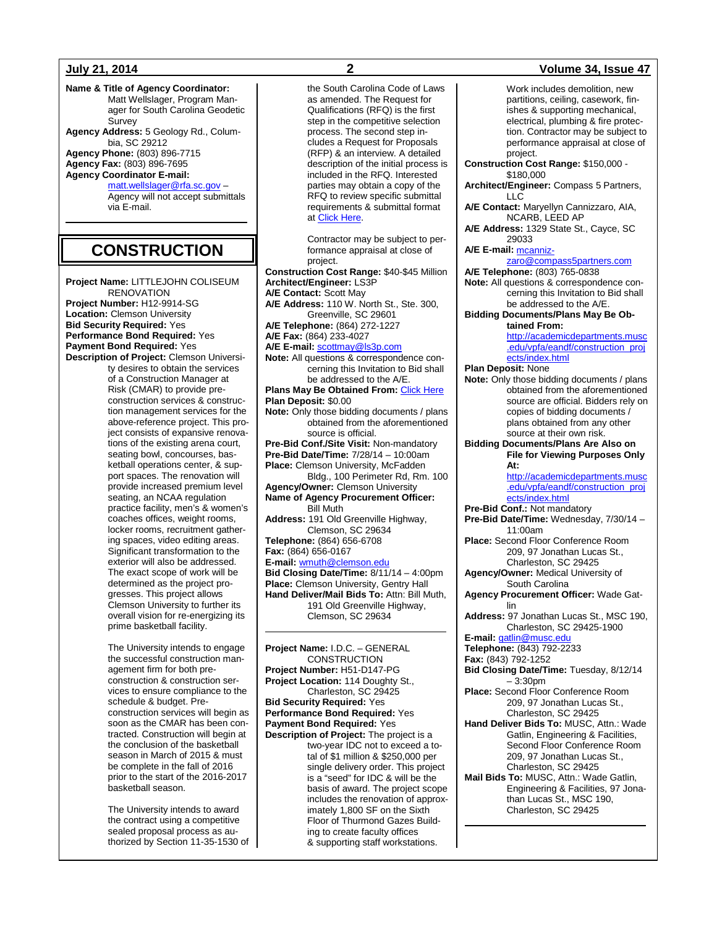**Name & Title of Agency Coordinator:** Matt Wellslager, Program Manager for South Carolina Geodetic **Survey Agency Address:** 5 Geology Rd., Colum-

bia, SC 29212 **Agency Phone:** (803) 896-7715 **Agency Fax:** (803) 896-7695 **Agency Coordinator E-mail:**

[matt.wellslager@rfa.sc.gov](mailto:matt.wellslager@rfa.sc.gov) –

Agency will not accept submittals via E-mail.

## **CONSTRUCTION**

**Project Name:** LITTLEJOHN COLISEUM **RENOVATION Project Number:** H12-9914-SG **Location:** Clemson University **Bid Security Required:** Yes **Performance Bond Required:** Yes **Payment Bond Required:** Yes **Description of Project:** Clemson Universi-

ty desires to obtain the services of a Construction Manager at Risk (CMAR) to provide preconstruction services & construction management services for the above-reference project. This project consists of expansive renovations of the existing arena court, seating bowl, concourses, basketball operations center, & support spaces. The renovation will provide increased premium level seating, an NCAA regulation practice facility, men's & women's coaches offices, weight rooms, locker rooms, recruitment gathering spaces, video editing areas. Significant transformation to the exterior will also be addressed. The exact scope of work will be determined as the project progresses. This project allows Clemson University to further its overall vision for re-energizing its prime basketball facility.

The University intends to engage the successful construction management firm for both preconstruction & construction services to ensure compliance to the schedule & budget. Preconstruction services will begin as soon as the CMAR has been contracted. Construction will begin at the conclusion of the basketball season in March of 2015 & must be complete in the fall of 2016 prior to the start of the 2016-2017 basketball season.

The University intends to award the contract using a competitive sealed proposal process as authorized by Section 11-35-1530 of

the South Carolina Code of Laws as amended. The Request for Qualifications (RFQ) is the first step in the competitive selection process. The second step includes a Request for Proposals (RFP) & an interview. A detailed description of the initial process is included in the RFQ. Interested parties may obtain a copy of the RFQ to review specific submittal requirements & submittal format a[t Click Here.](http://www.clemson.edu/facilities/capital-projects/projects/index.html)

Contractor may be subject to performance appraisal at close of project. **Construction Cost Range:** \$40-\$45 Million **Architect/Engineer:** LS3P **A/E Contact:** Scott May **A/E Address:** 110 W. North St., Ste. 300, Greenville, SC 29601 **A/E Telephone:** (864) 272-1227 **A/E Fax:** (864) 233-4027 **A/E E-mail:** [scottmay@ls3p.com](mailto:scottmay@ls3p.com) **Note:** All questions & correspondence concerning this Invitation to Bid shall be addressed to the A/E. **Plans May Be Obtained From:** [Click Here](http://www.clemson.edu/facilities/capital-projects/projects/index.html) **Plan Deposit:** \$0.00 **Note:** Only those bidding documents / plans obtained from the aforementioned source is official. **Pre-Bid Conf./Site Visit:** Non-mandatory **Pre-Bid Date/Time:** 7/28/14 – 10:00am **Place:** Clemson University, McFadden Bldg., 100 Perimeter Rd, Rm. 100 **Agency/Owner:** Clemson University **Name of Agency Procurement Officer:** Bill Muth **Address:** 191 Old Greenville Highway, Clemson, SC 29634 **Telephone:** (864) 656-6708 **Fax:** (864) 656-0167 **E-mail:** [wmuth@clemson.edu](mailto:wmuth@clemson.edu) **Bid Closing Date/Time:** 8/11/14 – 4:00pm **Place:** Clemson University, Gentry Hall **Hand Deliver/Mail Bids To:** Attn: Bill Muth, 191 Old Greenville Highway, Clemson, SC 29634

**Project Name:** I.D.C. – GENERAL **CONSTRUCTION Project Number:** H51-D147-PG **Project Location:** 114 Doughty St., Charleston, SC 29425 **Bid Security Required:** Yes **Performance Bond Required:** Yes **Payment Bond Required:** Yes **Description of Project:** The project is a two-year IDC not to exceed a total of \$1 million & \$250,000 per single delivery order. This project is a "seed" for IDC & will be the basis of award. The project scope includes the renovation of approximately 1,800 SF on the Sixth Floor of Thurmond Gazes Building to create faculty offices & supporting staff workstations.

## **July 21, 2014 2 Volume 34, Issue 47**

Work includes demolition, new partitions, ceiling, casework, finishes & supporting mechanical, electrical, plumbing & fire protection. Contractor may be subject to performance appraisal at close of project. **Construction Cost Range:** \$150,000 - \$180,000 **Architect/Engineer:** Compass 5 Partners,  $\sqcup$  C **A/E Contact:** Maryellyn Cannizzaro, AIA, NCARB, LEED AP **A/E Address:** 1329 State St., Cayce, SC 29033 **A/E E-mail:** [mcanniz](mailto:mcannizzaro@compass5partners.com)[zaro@compass5partners.com](mailto:mcannizzaro@compass5partners.com) **A/E Telephone:** (803) 765-0838 **Note:** All questions & correspondence concerning this Invitation to Bid shall be addressed to the A/E. **Bidding Documents/Plans May Be Obtained From:** [http://academicdepartments.musc](http://academicdepartments.musc.edu/vpfa/eandf/construction_projects/index.html) [.edu/vpfa/eandf/construction\\_proj](http://academicdepartments.musc.edu/vpfa/eandf/construction_projects/index.html) [ects/index.html](http://academicdepartments.musc.edu/vpfa/eandf/construction_projects/index.html) **Plan Deposit:** None **Note:** Only those bidding documents / plans obtained from the aforementioned source are official. Bidders rely on copies of bidding documents / plans obtained from any other source at their own risk. **Bidding Documents/Plans Are Also on File for Viewing Purposes Only At:** [http://academicdepartments.musc](http://academicdepartments.musc.edu/vpfa/eandf/construction_projects/index.html) [.edu/vpfa/eandf/construction\\_proj](http://academicdepartments.musc.edu/vpfa/eandf/construction_projects/index.html) [ects/index.html](http://academicdepartments.musc.edu/vpfa/eandf/construction_projects/index.html) **Pre-Bid Conf.:** Not mandatory **Pre-Bid Date/Time:** Wednesday, 7/30/14 – 11:00am **Place:** Second Floor Conference Room 209, 97 Jonathan Lucas St., Charleston, SC 29425 **Agency/Owner:** Medical University of South Carolina **Agency Procurement Officer:** Wade Gatlin **Address:** 97 Jonathan Lucas St., MSC 190, Charleston, SC 29425-1900 **E-mail:** [gatlin@musc.edu](mailto:gatlin@musc.edu) **Telephone:** (843) 792-2233 **Fax:** (843) 792-1252 **Bid Closing Date/Time:** Tuesday, 8/12/14  $-3:30$ pm **Place:** Second Floor Conference Room 209, 97 Jonathan Lucas St., Charleston, SC 29425 **Hand Deliver Bids To:** MUSC, Attn.: Wade Gatlin, Engineering & Facilities, Second Floor Conference Room 209, 97 Jonathan Lucas St., Charleston, SC 29425 **Mail Bids To:** MUSC, Attn.: Wade Gatlin, Engineering & Facilities, 97 Jonathan Lucas St., MSC 190, Charleston, SC 29425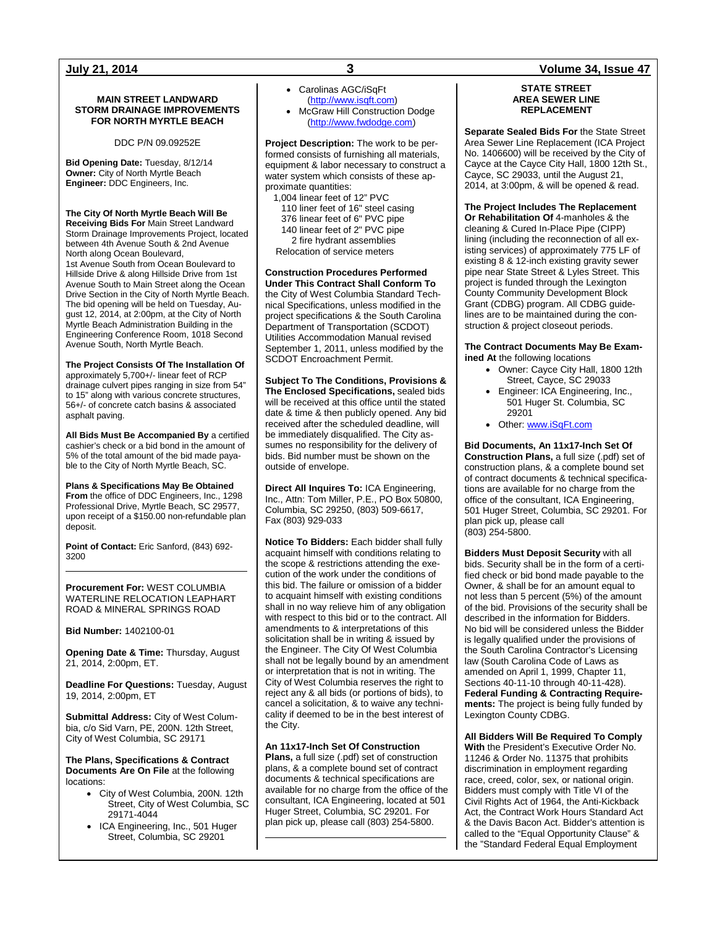## **MAIN STREET LANDWARD STORM DRAINAGE IMPROVEMENTS FOR NORTH MYRTLE BEACH**

DDC P/N 09.09252E

**Bid Opening Date:** Tuesday, 8/12/14 **Owner:** City of North Myrtle Beach **Engineer:** DDC Engineers, Inc.

## **The City Of North Myrtle Beach Will Be**

**Receiving Bids For** Main Street Landward Storm Drainage Improvements Project, located between 4th Avenue South & 2nd Avenue North along Ocean Boulevard, 1st Avenue South from Ocean Boulevard to Hillside Drive & along Hillside Drive from 1st Avenue South to Main Street along the Ocean Drive Section in the City of North Myrtle Beach. The bid opening will be held on Tuesday, August 12, 2014, at 2:00pm, at the City of North Myrtle Beach Administration Building in the Engineering Conference Room, 1018 Second Avenue South, North Myrtle Beach.

**The Project Consists Of The Installation Of**  approximately 5,700+/- linear feet of RCP drainage culvert pipes ranging in size from 54" to 15" along with various concrete structures, 56+/- of concrete catch basins & associated asphalt paving.

**All Bids Must Be Accompanied By** a certified cashier's check or a bid bond in the amount of 5% of the total amount of the bid made payable to the City of North Myrtle Beach, SC.

**Plans & Specifications May Be Obtained From** the office of DDC Engineers, Inc., 1298 Professional Drive, Myrtle Beach, SC 29577, upon receipt of a \$150.00 non-refundable plan deposit.

**Point of Contact:** Eric Sanford, (843) 692- 3200

**Procurement For:** WEST COLUMBIA WATERLINE RELOCATION LEAPHART ROAD & MINERAL SPRINGS ROAD

**Bid Number:** 1402100-01

**Opening Date & Time:** Thursday, August 21, 2014, 2:00pm, ET.

**Deadline For Questions:** Tuesday, August 19, 2014, 2:00pm, ET

**Submittal Address:** City of West Columbia, c/o Sid Varn, PE, 200N. 12th Street, City of West Columbia, SC 29171

**The Plans, Specifications & Contract Documents Are On File** at the following locations:

- City of West Columbia, 200N. 12th Street, City of West Columbia, SC 29171-4044
- ICA Engineering, Inc., 501 Huger Street, Columbia, SC 29201
- Carolinas AGC/iSqFt [\(http://www.isqft.com\)](http://www.isqft.com/)
- McGraw Hill Construction Dodge [\(http://www.fwdodge.com\)](http://www.fwdodge.com/)

**Project Description:** The work to be performed consists of furnishing all materials, equipment & labor necessary to construct a water system which consists of these approximate quantities:

1,004 linear feet of 12" PVC 110 liner feet of 16" steel casing 376 linear feet of 6" PVC pipe 140 linear feet of 2" PVC pipe 2 fire hydrant assemblies

Relocation of service meters

## **Construction Procedures Performed Under This Contract Shall Conform To** the City of West Columbia Standard Technical Specifications, unless modified in the project specifications & the South Carolina Department of Transportation (SCDOT) Utilities Accommodation Manual revised September 1, 2011, unless modified by the SCDOT Encroachment Permit.

**Subject To The Conditions, Provisions & The Enclosed Specifications,** sealed bids will be received at this office until the stated date & time & then publicly opened. Any bid received after the scheduled deadline, will be immediately disqualified. The City assumes no responsibility for the delivery of bids. Bid number must be shown on the outside of envelope.

**Direct All Inquires To:** ICA Engineering, Inc., Attn: Tom Miller, P.E., PO Box 50800, Columbia, SC 29250, (803) 509-6617, Fax (803) 929-033

**Notice To Bidders:** Each bidder shall fully acquaint himself with conditions relating to the scope & restrictions attending the execution of the work under the conditions of this bid. The failure or omission of a bidder to acquaint himself with existing conditions shall in no way relieve him of any obligation with respect to this bid or to the contract. All amendments to & interpretations of this solicitation shall be in writing & issued by the Engineer. The City Of West Columbia shall not be legally bound by an amendment or interpretation that is not in writing. The City of West Columbia reserves the right to reject any & all bids (or portions of bids), to cancel a solicitation, & to waive any technicality if deemed to be in the best interest of the City.

## **An 11x17-Inch Set Of Construction**

**Plans,** a full size (.pdf) set of construction plans, & a complete bound set of contract documents & technical specifications are available for no charge from the office of the consultant, ICA Engineering, located at 501 Huger Street, Columbia, SC 29201. For plan pick up, please call (803) 254-5800.

## **STATE STREET AREA SEWER LINE REPLACEMENT**

**Separate Sealed Bids For** the State Street Area Sewer Line Replacement (ICA Project No. 1406600) will be received by the City of Cayce at the Cayce City Hall, 1800 12th St., Cayce, SC 29033, until the August 21, 2014, at 3:00pm, & will be opened & read.

**The Project Includes The Replacement Or Rehabilitation Of** 4-manholes & the cleaning & Cured In-Place Pipe (CIPP) lining (including the reconnection of all existing services) of approximately 775 LF of existing 8 & 12-inch existing gravity sewer pipe near State Street & Lyles Street. This project is funded through the Lexington County Community Development Block Grant (CDBG) program. All CDBG guidelines are to be maintained during the construction & project closeout periods.

**The Contract Documents May Be Examined At** the following locations

- Owner: Cayce City Hall, 1800 12th Street, Cayce, SC 29033
- Engineer: ICA Engineering, Inc., 501 Huger St. Columbia, SC 29201
- Other[: www.iSqFt.com](http://www.isqft.com/)

**Bid Documents, An 11x17-Inch Set Of Construction Plans,** a full size (.pdf) set of construction plans, & a complete bound set of contract documents & technical specifications are available for no charge from the office of the consultant, ICA Engineering, 501 Huger Street, Columbia, SC 29201. For plan pick up, please call (803) 254-5800.

**Bidders Must Deposit Security** with all bids. Security shall be in the form of a certified check or bid bond made payable to the Owner, & shall be for an amount equal to not less than 5 percent (5%) of the amount of the bid. Provisions of the security shall be described in the information for Bidders. No bid will be considered unless the Bidder is legally qualified under the provisions of the South Carolina Contractor's Licensing law (South Carolina Code of Laws as amended on April 1, 1999, Chapter 11, Sections 40-11-10 through 40-11-428). **Federal Funding & Contracting Requirements:** The project is being fully funded by Lexington County CDBG.

**All Bidders Will Be Required To Comply With** the President's Executive Order No. 11246 & Order No. 11375 that prohibits discrimination in employment regarding race, creed, color, sex, or national origin. Bidders must comply with Title VI of the Civil Rights Act of 1964, the Anti-Kickback Act, the Contract Work Hours Standard Act & the Davis Bacon Act. Bidder's attention is called to the "Equal Opportunity Clause" & the "Standard Federal Equal Employment

## **July 21, 2014 3 Volume 34, Issue 47**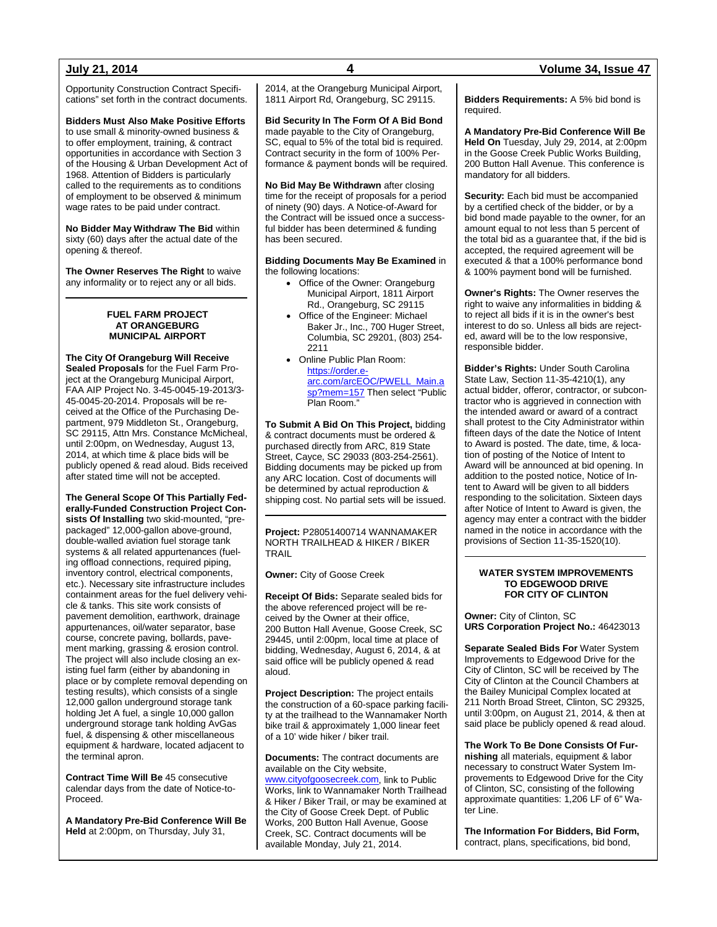Opportunity Construction Contract Specifications" set forth in the contract documents.

**Bidders Must Also Make Positive Efforts** to use small & minority-owned business & to offer employment, training, & contract opportunities in accordance with Section 3 of the Housing & Urban Development Act of 1968. Attention of Bidders is particularly called to the requirements as to conditions of employment to be observed & minimum wage rates to be paid under contract.

**No Bidder May Withdraw The Bid** within sixty (60) days after the actual date of the opening & thereof.

**The Owner Reserves The Right** to waive any informality or to reject any or all bids.

### **FUEL FARM PROJECT AT ORANGEBURG MUNICIPAL AIRPORT**

**The City Of Orangeburg Will Receive Sealed Proposals** for the Fuel Farm Project at the Orangeburg Municipal Airport, FAA AIP Project No. 3-45-0045-19-2013/3- 45-0045-20-2014. Proposals will be received at the Office of the Purchasing Department, 979 Middleton St., Orangeburg, SC 29115, Attn Mrs. Constance McMicheal, until 2:00pm, on Wednesday, August 13, 2014, at which time & place bids will be publicly opened & read aloud. Bids received after stated time will not be accepted.

**The General Scope Of This Partially Federally-Funded Construction Project Consists Of Installing** two skid-mounted, "prepackaged" 12,000-gallon above-ground, double-walled aviation fuel storage tank systems & all related appurtenances (fueling offload connections, required piping, inventory control, electrical components, etc.). Necessary site infrastructure includes containment areas for the fuel delivery vehicle & tanks. This site work consists of pavement demolition, earthwork, drainage appurtenances, oil/water separator, base course, concrete paving, bollards, pavement marking, grassing & erosion control. The project will also include closing an existing fuel farm (either by abandoning in place or by complete removal depending on testing results), which consists of a single 12,000 gallon underground storage tank holding Jet A fuel, a single 10,000 gallon underground storage tank holding AvGas fuel, & dispensing & other miscellaneous equipment & hardware, located adjacent to the terminal apron.

**Contract Time Will Be** 45 consecutive calendar days from the date of Notice-to-Proceed.

**A Mandatory Pre-Bid Conference Will Be Held** at 2:00pm, on Thursday, July 31,

2014, at the Orangeburg Municipal Airport, 1811 Airport Rd, Orangeburg, SC 29115.

**Bid Security In The Form Of A Bid Bond** made payable to the City of Orangeburg, SC, equal to 5% of the total bid is required. Contract security in the form of 100% Performance & payment bonds will be required.

**No Bid May Be Withdrawn** after closing time for the receipt of proposals for a period of ninety (90) days. A Notice-of-Award for the Contract will be issued once a successful bidder has been determined & funding has been secured.

**Bidding Documents May Be Examined** in the following locations:

- Office of the Owner: Orangeburg Municipal Airport, 1811 Airport Rd., Orangeburg, SC 29115
- Office of the Engineer: Michael Baker Jr., Inc., 700 Huger Street, Columbia, SC 29201, (803) 254- 2211
- Online Public Plan Room: [https://order.e](https://order.e-arc.com/arcEOC/PWELL_Main.asp?mem=157)[arc.com/arcEOC/PWELL\\_Main.a](https://order.e-arc.com/arcEOC/PWELL_Main.asp?mem=157) [sp?mem=157](https://order.e-arc.com/arcEOC/PWELL_Main.asp?mem=157) Then select "Public Plan Room."

**To Submit A Bid On This Project,** bidding & contract documents must be ordered & purchased directly from ARC, 819 State Street, Cayce, SC 29033 (803-254-2561). Bidding documents may be picked up from any ARC location. Cost of documents will be determined by actual reproduction & shipping cost. No partial sets will be issued.

**Project:** P28051400714 WANNAMAKER NORTH TRAILHEAD & HIKER / BIKER TRAIL

**Owner:** City of Goose Creek

**Receipt Of Bids:** Separate sealed bids for the above referenced project will be received by the Owner at their office, 200 Button Hall Avenue, Goose Creek, SC 29445, until 2:00pm, local time at place of bidding, Wednesday, August 6, 2014, & at said office will be publicly opened & read aloud.

**Project Description:** The project entails the construction of a 60-space parking facility at the trailhead to the Wannamaker North bike trail & approximately 1,000 linear feet of a 10' wide hiker / biker trail.

**Documents:** The contract documents are available on the City website, [www.cityofgoosecreek.com,](http://www.cityofgoosecreek.com/) link to Public Works, link to Wannamaker North Trailhead & Hiker / Biker Trail, or may be examined at the City of Goose Creek Dept. of Public Works, 200 Button Hall Avenue, Goose Creek, SC. Contract documents will be available Monday, July 21, 2014.

**Bidders Requirements:** A 5% bid bond is required.

**A Mandatory Pre-Bid Conference Will Be Held On** Tuesday, July 29, 2014, at 2:00pm in the Goose Creek Public Works Building, 200 Button Hall Avenue. This conference is mandatory for all bidders.

**Security:** Each bid must be accompanied by a certified check of the bidder, or by a bid bond made payable to the owner, for an amount equal to not less than 5 percent of the total bid as a guarantee that, if the bid is accepted, the required agreement will be executed & that a 100% performance bond & 100% payment bond will be furnished.

**Owner's Rights:** The Owner reserves the right to waive any informalities in bidding & to reject all bids if it is in the owner's best interest to do so. Unless all bids are rejected, award will be to the low responsive, responsible bidder.

**Bidder's Rights:** Under South Carolina State Law, Section 11-35-4210(1), any actual bidder, offeror, contractor, or subcontractor who is aggrieved in connection with the intended award or award of a contract shall protest to the City Administrator within fifteen days of the date the Notice of Intent to Award is posted. The date, time, & location of posting of the Notice of Intent to Award will be announced at bid opening. In addition to the posted notice, Notice of Intent to Award will be given to all bidders responding to the solicitation. Sixteen days after Notice of Intent to Award is given, the agency may enter a contract with the bidder named in the notice in accordance with the provisions of Section 11-35-1520(10).

## **WATER SYSTEM IMPROVEMENTS TO EDGEWOOD DRIVE FOR CITY OF CLINTON**

**Owner:** City of Clinton, SC **URS Corporation Project No.:** 46423013

**Separate Sealed Bids For** Water System Improvements to Edgewood Drive for the City of Clinton, SC will be received by The City of Clinton at the Council Chambers at the Bailey Municipal Complex located at 211 North Broad Street, Clinton, SC 29325, until 3:00pm, on August 21, 2014, & then at said place be publicly opened & read aloud.

**The Work To Be Done Consists Of Furnishing** all materials, equipment & labor necessary to construct Water System Improvements to Edgewood Drive for the City of Clinton, SC, consisting of the following approximate quantities: 1,206 LF of 6" Water Line.

**The Information For Bidders, Bid Form,** contract, plans, specifications, bid bond,

## **July 21, 2014 4 Volume 34, Issue 47**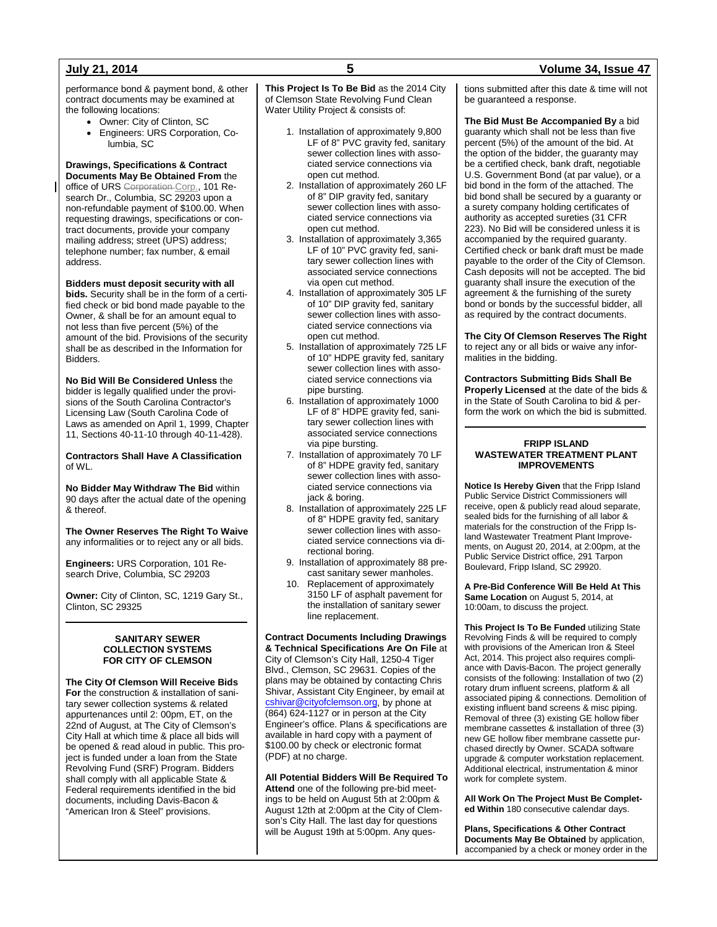performance bond & payment bond, & other contract documents may be examined at the following locations:

- Owner: City of Clinton, SC
- Engineers: URS Corporation, Columbia, SC

### **Drawings, Specifications & Contract Documents May Be Obtained From** the

office of URS Corporation Corp., 101 Research Dr., Columbia, SC 29203 upon a non-refundable payment of \$100.00. When requesting drawings, specifications or contract documents, provide your company mailing address; street (UPS) address; telephone number; fax number, & email address.

## **Bidders must deposit security with all**

**bids.** Security shall be in the form of a certified check or bid bond made payable to the Owner, & shall be for an amount equal to not less than five percent (5%) of the amount of the bid. Provisions of the security shall be as described in the Information for Bidders.

**No Bid Will Be Considered Unless** the bidder is legally qualified under the provisions of the South Carolina Contractor's Licensing Law (South Carolina Code of Laws as amended on April 1, 1999, Chapter 11, Sections 40-11-10 through 40-11-428).

**Contractors Shall Have A Classification** of WL.

**No Bidder May Withdraw The Bid** within 90 days after the actual date of the opening & thereof.

**The Owner Reserves The Right To Waive** any informalities or to reject any or all bids.

**Engineers:** URS Corporation, 101 Research Drive, Columbia, SC 29203

**Owner:** City of Clinton, SC, 1219 Gary St., Clinton, SC 29325

## **SANITARY SEWER COLLECTION SYSTEMS FOR CITY OF CLEMSON**

**The City Of Clemson Will Receive Bids For** the construction & installation of sanitary sewer collection systems & related appurtenances until 2: 00pm, ET, on the 22nd of August, at The City of Clemson's City Hall at which time & place all bids will be opened & read aloud in public. This project is funded under a loan from the State Revolving Fund (SRF) Program. Bidders shall comply with all applicable State & Federal requirements identified in the bid documents, including Davis-Bacon & "American Iron & Steel" provisions.

**This Project Is To Be Bid** as the 2014 City of Clemson State Revolving Fund Clean Water Utility Project & consists of:

- 1. Installation of approximately 9,800 LF of 8" PVC gravity fed, sanitary sewer collection lines with associated service connections via open cut method.
- 2. Installation of approximately 260 LF of 8" DIP gravity fed, sanitary sewer collection lines with associated service connections via open cut method.
- 3. Installation of approximately 3,365 LF of 10" PVC gravity fed, sanitary sewer collection lines with associated service connections via open cut method.
- 4. Installation of approximately 305 LF of 10" DIP gravity fed, sanitary sewer collection lines with associated service connections via open cut method.
- 5. Installation of approximately 725 LF of 10" HDPE gravity fed, sanitary sewer collection lines with associated service connections via pipe bursting.
- 6. Installation of approximately 1000 LF of 8" HDPE gravity fed, sanitary sewer collection lines with associated service connections via pipe bursting.
- 7. Installation of approximately 70 LF of 8" HDPE gravity fed, sanitary sewer collection lines with associated service connections via jack & boring.
- 8. Installation of approximately 225 LF of 8" HDPE gravity fed, sanitary sewer collection lines with associated service connections via directional boring.
- 9. Installation of approximately 88 precast sanitary sewer manholes.
- 10. Replacement of approximately 3150 LF of asphalt pavement for the installation of sanitary sewer line replacement.

**Contract Documents Including Drawings & Technical Specifications Are On File** at City of Clemson's City Hall, 1250-4 Tiger Blvd., Clemson, SC 29631. Copies of the plans may be obtained by contacting Chris Shivar, Assistant City Engineer, by email at [cshivar@cityofclemson.org,](mailto:cshivar@cityofclemson.org) by phone at (864) 624-1127 or in person at the City Engineer's office. Plans & specifications are available in hard copy with a payment of \$100.00 by check or electronic format (PDF) at no charge.

## **All Potential Bidders Will Be Required To**

**Attend** one of the following pre-bid meetings to be held on August 5th at 2:00pm & August 12th at 2:00pm at the City of Clemson's City Hall. The last day for questions will be August 19th at 5:00pm. Any questions submitted after this date & time will not be guaranteed a response.

**The Bid Must Be Accompanied By** a bid guaranty which shall not be less than five percent (5%) of the amount of the bid. At the option of the bidder, the guaranty may be a certified check, bank draft, negotiable U.S. Government Bond (at par value), or a bid bond in the form of the attached. The bid bond shall be secured by a guaranty or a surety company holding certificates of authority as accepted sureties (31 CFR 223). No Bid will be considered unless it is accompanied by the required guaranty. Certified check or bank draft must be made payable to the order of the City of Clemson. Cash deposits will not be accepted. The bid guaranty shall insure the execution of the agreement & the furnishing of the surety bond or bonds by the successful bidder, all as required by the contract documents.

**The City Of Clemson Reserves The Right** to reject any or all bids or waive any informalities in the bidding.

**Contractors Submitting Bids Shall Be Properly Licensed** at the date of the bids & in the State of South Carolina to bid & perform the work on which the bid is submitted.

### **FRIPP ISLAND WASTEWATER TREATMENT PLANT IMPROVEMENTS**

**Notice Is Hereby Given** that the Fripp Island Public Service District Commissioners will receive, open & publicly read aloud separate, sealed bids for the furnishing of all labor & materials for the construction of the Fripp Island Wastewater Treatment Plant Improvements, on August 20, 2014, at 2:00pm, at the Public Service District office, 291 Tarpon Boulevard, Fripp Island, SC 29920.

**A Pre-Bid Conference Will Be Held At This Same Location** on August 5, 2014, at 10:00am, to discuss the project.

**This Project Is To Be Funded** utilizing State Revolving Finds & will be required to comply with provisions of the American Iron & Steel Act, 2014. This project also requires compliance with Davis-Bacon. The project generally consists of the following: Installation of two (2) rotary drum influent screens, platform & all associated piping & connections. Demolition of existing influent band screens & misc piping. Removal of three (3) existing GE hollow fiber membrane cassettes & installation of three (3) new GE hollow fiber membrane cassette purchased directly by Owner. SCADA software upgrade & computer workstation replacement. Additional electrical, instrumentation & minor work for complete system.

**All Work On The Project Must Be Completed Within** 180 consecutive calendar days.

**Plans, Specifications & Other Contract Documents May Be Obtained** by application, accompanied by a check or money order in the

## **July 21, 2014 5 Volume 34, Issue 47**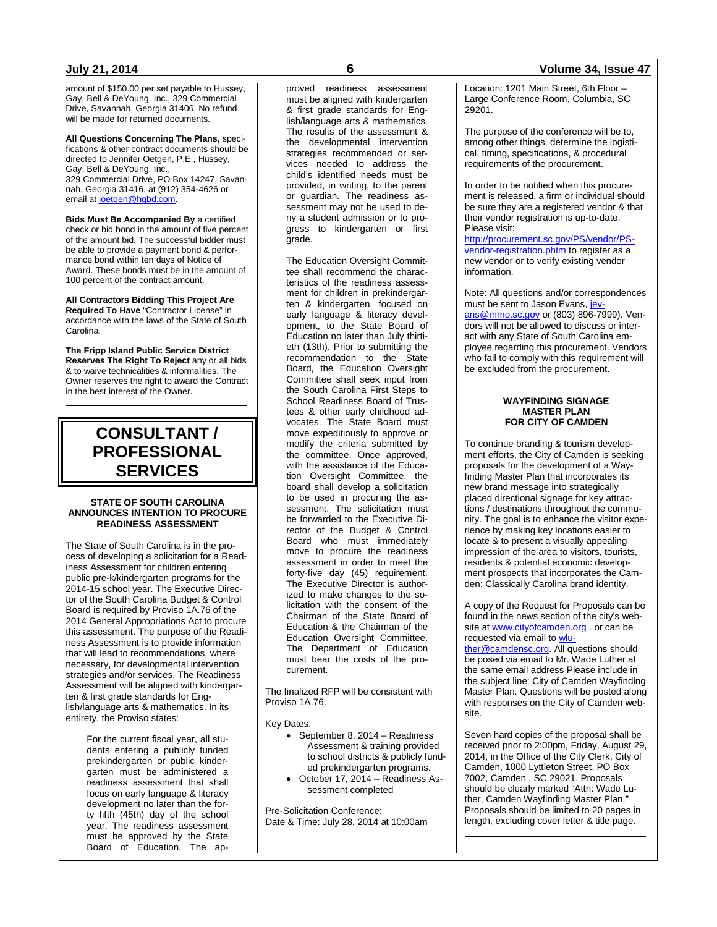amount of \$150.00 per set payable to Hussey, Gay, Bell & DeYoung, Inc., 329 Commercial Drive, Savannah, Georgia 31406. No refund will be made for returned documents.

**All Questions Concerning The Plans,** specifications & other contract documents should be directed to Jennifer Oetgen, P.E., Hussey, Gay, Bell & DeYoung, Inc., 329 Commercial Drive, PO Box 14247, Savannah, Georgia 31416, at (912) 354-4626 or email a[t joetgen@hgbd.com.](mailto:joetgen@hgbd.com)

**Bids Must Be Accompanied By** a certified check or bid bond in the amount of five percent of the amount bid. The successful bidder must be able to provide a payment bond & performance bond within ten days of Notice of Award. These bonds must be in the amount of 100 percent of the contract amount.

**All Contractors Bidding This Project Are Required To Have** "Contractor License" in accordance with the laws of the State of South Carolina.

**The Fripp Island Public Service District Reserves The Right To Reject** any or all bids & to waive technicalities & informalities. The Owner reserves the right to award the Contract in the best interest of the Owner.

## **CONSULTANT / PROFESSIONAL SERVICES**

## **STATE OF SOUTH CAROLINA ANNOUNCES INTENTION TO PROCURE READINESS ASSESSMENT**

The State of South Carolina is in the process of developing a solicitation for a Readiness Assessment for children entering public pre-k/kindergarten programs for the 2014-15 school year. The Executive Director of the South Carolina Budget & Control Board is required by Proviso 1A.76 of the 2014 General Appropriations Act to procure this assessment. The purpose of the Readiness Assessment is to provide information that will lead to recommendations, where necessary, for developmental intervention strategies and/or services. The Readiness Assessment will be aligned with kindergarten & first grade standards for English/language arts & mathematics. In its entirety, the Proviso states:

> For the current fiscal year, all students entering a publicly funded prekindergarten or public kindergarten must be administered a readiness assessment that shall focus on early language & literacy development no later than the forty fifth (45th) day of the school year. The readiness assessment must be approved by the State Board of Education. The ap

proved readiness assessment must be aligned with kindergarten & first grade standards for English/language arts & mathematics. The results of the assessment & the developmental intervention strategies recommended or services needed to address the child's identified needs must be provided, in writing, to the parent or guardian. The readiness assessment may not be used to deny a student admission or to progress to kindergarten or first grade.

The Education Oversight Committee shall recommend the characteristics of the readiness assessment for children in prekindergarten & kindergarten, focused on early language & literacy development, to the State Board of Education no later than July thirtieth (13th). Prior to submitting the recommendation to the State Board, the Education Oversight Committee shall seek input from the South Carolina First Steps to School Readiness Board of Trustees & other early childhood advocates. The State Board must move expeditiously to approve or modify the criteria submitted by the committee. Once approved, with the assistance of the Education Oversight Committee, the board shall develop a solicitation to be used in procuring the assessment. The solicitation must be forwarded to the Executive Director of the Budget & Control Board who must immediately move to procure the readiness assessment in order to meet the forty-five day (45) requirement. The Executive Director is authorized to make changes to the solicitation with the consent of the Chairman of the State Board of Education & the Chairman of the Education Oversight Committee. The Department of Education must bear the costs of the procurement.

The finalized RFP will be consistent with Proviso 1A.76.

Key Dates:

- September 8, 2014 Readiness Assessment & training provided to school districts & publicly funded prekindergarten programs.
- October 17, 2014 Readiness Assessment completed

Pre-Solicitation Conference: Date & Time: July 28, 2014 at 10:00am

## **July 21, 2014 6 Volume 34, Issue 47**

Location: 1201 Main Street, 6th Floor – Large Conference Room, Columbia, SC 29201.

The purpose of the conference will be to, among other things, determine the logistical, timing, specifications, & procedural requirements of the procurement.

In order to be notified when this procurement is released, a firm or individual should be sure they are a registered vendor & that their vendor registration is up-to-date. Please visit:

[http://procurement.sc.gov/PS/vendor/PS](http://procurement.sc.gov/PS/vendor/PS-vendor-registration.phtm)[vendor-registration.phtm](http://procurement.sc.gov/PS/vendor/PS-vendor-registration.phtm) to register as a new vendor or to verify existing vendor information.

Note: All questions and/or correspondences must be sent to Jason Evans, [jev](mailto:jevans@mmo.sc.gov)[ans@mmo.sc.gov](mailto:jevans@mmo.sc.gov) or (803) 896-7999). Vendors will not be allowed to discuss or interact with any State of South Carolina employee regarding this procurement. Vendors who fail to comply with this requirement will be excluded from the procurement.

## **WAYFINDING SIGNAGE MASTER PLAN FOR CITY OF CAMDEN**

To continue branding & tourism development efforts, the City of Camden is seeking proposals for the development of a Wayfinding Master Plan that incorporates its new brand message into strategically placed directional signage for key attractions / destinations throughout the community. The goal is to enhance the visitor experience by making key locations easier to locate & to present a visually appealing impression of the area to visitors, tourists, residents & potential economic development prospects that incorporates the Camden: Classically Carolina brand identity.

A copy of the Request for Proposals can be found in the news section of the city's website a[t www.cityofcamden.org](http://www.cityofcamden.org/) . or can be requested via email t[o wlu-](mailto:wluther@camdensc.org)

[ther@camdensc.org.](mailto:wluther@camdensc.org) All questions should be posed via email to Mr. Wade Luther at the same email address Please include in the subject line: City of Camden Wayfinding Master Plan. Questions will be posted along with responses on the City of Camden website.

Seven hard copies of the proposal shall be received prior to 2:00pm, Friday, August 29, 2014, in the Office of the City Clerk, City of Camden, 1000 Lyttleton Street, PO Box 7002, Camden , SC 29021. Proposals should be clearly marked "Attn: Wade Luther, Camden Wayfinding Master Plan." Proposals should be limited to 20 pages in length, excluding cover letter & title page.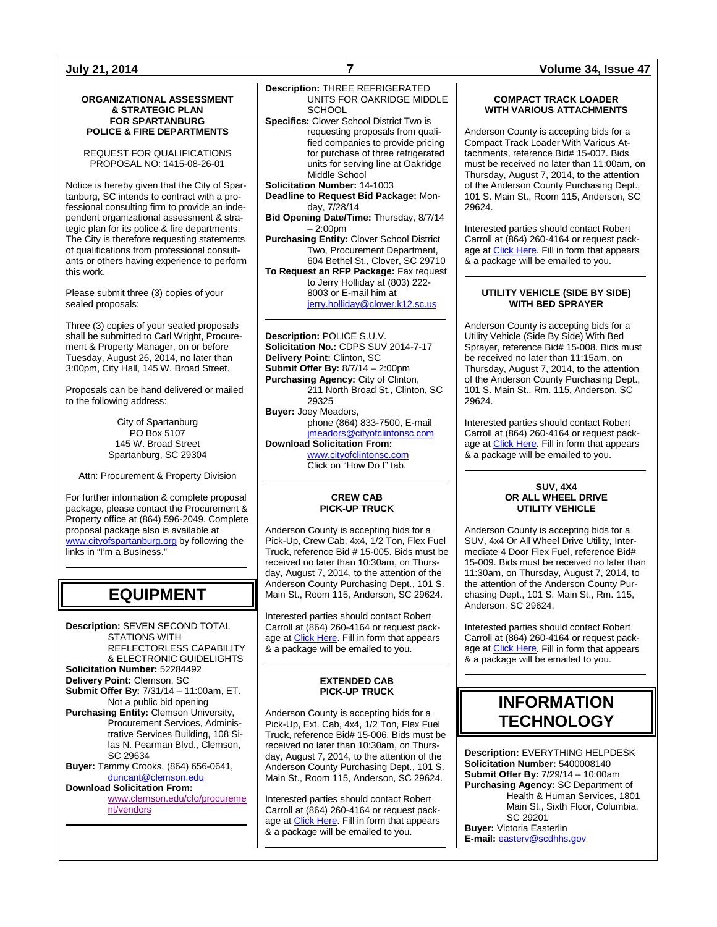### **ORGANIZATIONAL ASSESSMENT & STRATEGIC PLAN FOR SPARTANBURG POLICE & FIRE DEPARTMENTS**

REQUEST FOR QUALIFICATIONS PROPOSAL NO: 1415-08-26-01

Notice is hereby given that the City of Spartanburg, SC intends to contract with a professional consulting firm to provide an independent organizational assessment & strategic plan for its police & fire departments. The City is therefore requesting statements of qualifications from professional consultants or others having experience to perform this work.

Please submit three (3) copies of your sealed proposals:

Three (3) copies of your sealed proposals shall be submitted to Carl Wright, Procurement & Property Manager, on or before Tuesday, August 26, 2014, no later than 3:00pm, City Hall, 145 W. Broad Street.

Proposals can be hand delivered or mailed to the following address:

> City of Spartanburg PO Box 5107 145 W. Broad Street Spartanburg, SC 29304

Attn: Procurement & Property Division

For further information & complete proposal package, please contact the Procurement & Property office at (864) 596-2049. Complete proposal package also is available at [www.cityofspartanburg.org](http://www.cityofspartanburg.org/) by following the links in "I'm a Business."

## **EQUIPMENT**

**Description:** SEVEN SECOND TOTAL STATIONS WITH REFLECTORLESS CAPABILITY & ELECTRONIC GUIDELIGHTS **Solicitation Number:** 52284492 **Delivery Point:** Clemson, SC **Submit Offer By:** 7/31/14 – 11:00am, ET. Not a public bid opening **Purchasing Entity:** Clemson University, Procurement Services, Administrative Services Building, 108 Silas N. Pearman Blvd., Clemson, SC 29634 **Buyer:** Tammy Crooks, (864) 656-0641, [duncant@clemson.edu](mailto:duncant@clemson.edu) **Download Solicitation From:**

[www.clemson.edu/cfo/procureme](http://www.clemson.edu/cfo/procurement/vendors) [nt/vendors](http://www.clemson.edu/cfo/procurement/vendors)

## **Description:** THREE REFRIGERATED UNITS FOR OAKRIDGE MIDDLE SCHOOL **Specifics:** Clover School District Two is

requesting proposals from qualified companies to provide pricing for purchase of three refrigerated units for serving line at Oakridge Middle School

**Solicitation Number:** 14-1003 **Deadline to Request Bid Package:** Monday, 7/28/14

**Bid Opening Date/Time:** Thursday, 8/7/14  $-2:00$ pm

**Purchasing Entity:** Clover School District Two, Procurement Department, 604 Bethel St., Clover, SC 29710 **To Request an RFP Package:** Fax request

to Jerry Holliday at (803) 222- 8003 or E-mail him at

[jerry.holliday@clover.k12.sc.us](mailto:jerry.holliday@clover.k12.sc.us)

**Description:** POLICE S.U.V. **Solicitation No.:** CDPS SUV 2014-7-17 **Delivery Point:** Clinton, SC **Submit Offer By:** 8/7/14 – 2:00pm **Purchasing Agency:** City of Clinton, 211 North Broad St., Clinton, SC 29325 **Buyer:** Joey Meadors, phone (864) 833-7500, E-mail [jmeadors@cityofclintonsc.com](mailto:jmeadors@cityofclintonsc.com) **Download Solicitation From:** [www.cityofclintonsc.com](http://www.cityofclintonsc.com/)

Click on "How Do I" tab.

## **CREW CAB PICK-UP TRUCK**

Anderson County is accepting bids for a Pick-Up, Crew Cab, 4x4, 1/2 Ton, Flex Fuel Truck, reference Bid # 15-005. Bids must be received no later than 10:30am, on Thursday, August 7, 2014, to the attention of the Anderson County Purchasing Dept., 101 S. Main St., Room 115, Anderson, SC 29624.

Interested parties should contact Robert Carroll at (864) 260-4164 or request pack-age at [Click Here.](http://www.andersoncountysc.org/WEB/Purchasing_01.asp) Fill in form that appears & a package will be emailed to you.

## **EXTENDED CAB PICK-UP TRUCK**

Anderson County is accepting bids for a Pick-Up, Ext. Cab, 4x4, 1/2 Ton, Flex Fuel Truck, reference Bid# 15-006. Bids must be received no later than 10:30am, on Thursday, August 7, 2014, to the attention of the Anderson County Purchasing Dept., 101 S. Main St., Room 115, Anderson, SC 29624.

Interested parties should contact Robert Carroll at (864) 260-4164 or request pack-age at [Click Here.](http://www.andersoncountysc.org/WEB/Purchasing_01.asp) Fill in form that appears & a package will be emailed to you.

## **July 21, 2014 7 Volume 34, Issue 47**

## **COMPACT TRACK LOADER WITH VARIOUS ATTACHMENTS**

Anderson County is accepting bids for a Compact Track Loader With Various Attachments, reference Bid# 15-007. Bids must be received no later than 11:00am, on Thursday, August 7, 2014, to the attention of the Anderson County Purchasing Dept., 101 S. Main St., Room 115, Anderson, SC 29624.

Interested parties should contact Robert Carroll at (864) 260-4164 or request package a[t Click Here.](http://www.andersoncountysc.org/WEB/Purchasing_01.asp) Fill in form that appears & a package will be emailed to you.

## **UTILITY VEHICLE (SIDE BY SIDE) WITH BED SPRAYER**

Anderson County is accepting bids for a Utility Vehicle (Side By Side) With Bed Sprayer, reference Bid# 15-008. Bids must be received no later than 11:15am, on Thursday, August 7, 2014, to the attention of the Anderson County Purchasing Dept., 101 S. Main St., Rm. 115, Anderson, SC 29624.

Interested parties should contact Robert Carroll at (864) 260-4164 or request package at **Click Here**. Fill in form that appears & a package will be emailed to you.

### **SUV, 4X4 OR ALL WHEEL DRIVE UTILITY VEHICLE**

Anderson County is accepting bids for a SUV, 4x4 Or All Wheel Drive Utility, Intermediate 4 Door Flex Fuel, reference Bid# 15-009. Bids must be received no later than 11:30am, on Thursday, August 7, 2014, to the attention of the Anderson County Purchasing Dept., 101 S. Main St., Rm. 115, Anderson, SC 29624.

Interested parties should contact Robert Carroll at (864) 260-4164 or request package a[t Click Here.](http://www.andersoncountysc.org/WEB/Purchasing_01.asp) Fill in form that appears & a package will be emailed to you.

## **INFORMATION TECHNOLOGY**

**Description:** EVERYTHING HELPDESK **Solicitation Number:** 5400008140 **Submit Offer By:** 7/29/14 – 10:00am **Purchasing Agency:** SC Department of Health & Human Services, 1801 Main St., Sixth Floor, Columbia, SC 29201 **Buyer:** Victoria Easterlin **E-mail:** [easterv@scdhhs.gov](mailto:easterv@scdhhs.gov)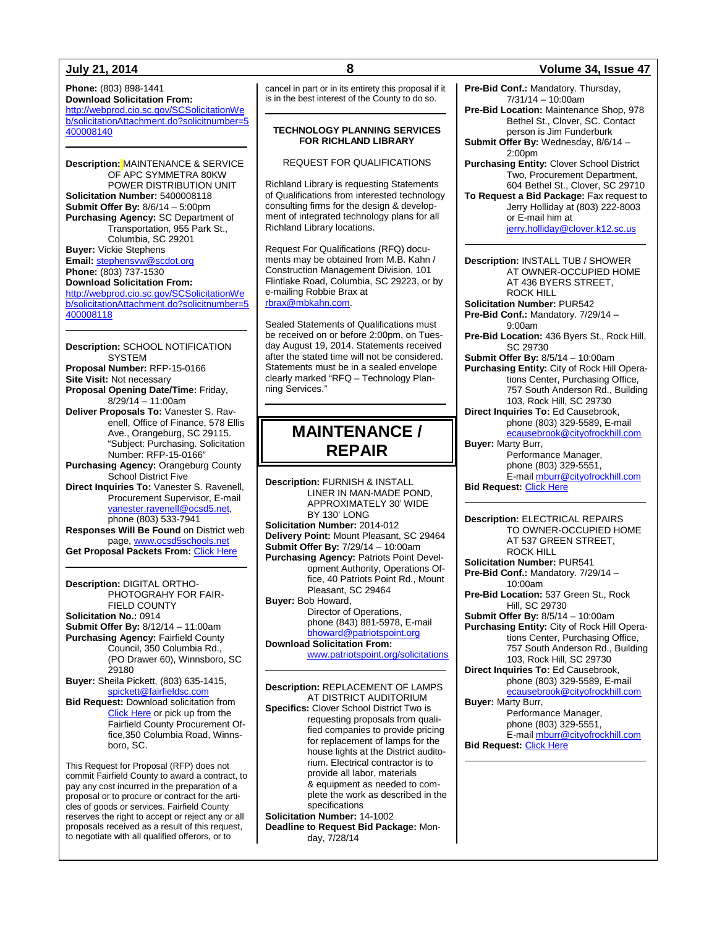**Phone:** (803) 898-1441 **Download Solicitation From:** [http://webprod.cio.sc.gov/SCSolicitationWe](http://webprod.cio.sc.gov/SCSolicitationWeb/solicitationAttachment.do?solicitnumber=5400008140) [b/solicitationAttachment.do?solicitnumber=5](http://webprod.cio.sc.gov/SCSolicitationWeb/solicitationAttachment.do?solicitnumber=5400008140) [400008140](http://webprod.cio.sc.gov/SCSolicitationWeb/solicitationAttachment.do?solicitnumber=5400008140)

**Description:** MAINTENANCE & SERVICE OF APC SYMMETRA 80KW POWER DISTRIBUTION UNIT **Solicitation Number:** 5400008118 **Submit Offer By:** 8/6/14 – 5:00pm **Purchasing Agency:** SC Department of Transportation, 955 Park St., Columbia, SC 29201 **Buyer:** Vickie Stephens **Email:** [stephensvw@scdot.org](mailto:stephensvw@scdot.org) **Phone:** (803) 737-1530 **Download Solicitation From:** [http://webprod.cio.sc.gov/SCSolicitationWe](http://webprod.cio.sc.gov/SCSolicitationWeb/solicitationAttachment.do?solicitnumber=5400008118) [b/solicitationAttachment.do?solicitnumber=5](http://webprod.cio.sc.gov/SCSolicitationWeb/solicitationAttachment.do?solicitnumber=5400008118)

[400008118](http://webprod.cio.sc.gov/SCSolicitationWeb/solicitationAttachment.do?solicitnumber=5400008118)

**Description:** SCHOOL NOTIFICATION SYSTEM **Proposal Number:** RFP-15-0166 **Site Visit:** Not necessary **Proposal Opening Date/Time:** Friday, 8/29/14 – 11:00am **Deliver Proposals To:** Vanester S. Ravenell, Office of Finance, 578 Ellis Ave., Orangeburg, SC 29115. "Subject: Purchasing. Solicitation Number: RFP-15-0166" **Purchasing Agency:** Orangeburg County School District Five **Direct Inquiries To:** Vanester S. Ravenell, Procurement Supervisor, E-mail [vanester.ravenell@ocsd5.net,](mailto:vanester.ravenell@ocsd5.net) phone (803) 533-7941 **Responses Will Be Found** on District web page[, www.ocsd5schools.net](http://www.ocsd5schools.net/)

**Get Proposal Packets From:** [Click Here](http://www.ocsd5schools.org/Default.asp?PN=DocumentUploads&L=2&DivisionID=15246&DepartmentID=16080&LMID=666650&ToggleSideNav=ShowAll)

**Description:** DIGITAL ORTHO-PHOTOGRAHY FOR FAIR-FIELD COUNTY **Solicitation No.:** 0914 **Submit Offer By:** 8/12/14 – 11:00am **Purchasing Agency:** Fairfield County Council, 350 Columbia Rd., (PO Drawer 60), Winnsboro, SC 29180 **Buyer:** Sheila Pickett, (803) 635-1415,

[spickett@fairfieldsc.com](mailto:spickett@fairfieldsc.com) **Bid Request:** Download solicitation from [Click Here](http://www.fairfieldsc.com/secondary.aspx?pageID=226) or pick up from the Fairfield County Procurement Office,350 Columbia Road, Winnsboro, SC.

This Request for Proposal (RFP) does not commit Fairfield County to award a contract, to pay any cost incurred in the preparation of a proposal or to procure or contract for the articles of goods or services. Fairfield County reserves the right to accept or reject any or all proposals received as a result of this request, to negotiate with all qualified offerors, or to

cancel in part or in its entirety this proposal if it is in the best interest of the County to do so.

### **TECHNOLOGY PLANNING SERVICES FOR RICHLAND LIBRARY**

REQUEST FOR QUALIFICATIONS

Richland Library is requesting Statements of Qualifications from interested technology consulting firms for the design & development of integrated technology plans for all Richland Library locations.

Request For Qualifications (RFQ) documents may be obtained from M.B. Kahn / Construction Management Division, 101 Flintlake Road, Columbia, SC 29223, or by e-mailing Robbie Brax at [rbrax@mbkahn.com.](mailto:rbrax@mbkahn.com)

Sealed Statements of Qualifications must be received on or before 2:00pm, on Tuesday August 19, 2014. Statements received after the stated time will not be considered. Statements must be in a sealed envelope clearly marked "RFQ – Technology Planning Services."

## **MAINTENANCE / REPAIR**

**Description:** FURNISH & INSTALL LINER IN MAN-MADE POND, APPROXIMATELY 30' WIDE BY 130' LONG **Solicitation Number:** 2014-012 **Delivery Point:** Mount Pleasant, SC 29464 **Submit Offer By:** 7/29/14 – 10:00am **Purchasing Agency:** Patriots Point Development Authority, Operations Office, 40 Patriots Point Rd., Mount Pleasant, SC 29464 **Buyer:** Bob Howard, Director of Operations, phone (843) 881-5978, E-mail [bhoward@patriotspoint.org](mailto:bhoward@patriotspoint.org) **Download Solicitation From:**

[www.patriotspoint.org/solicitations](http://www.patriotspoint.org/solicitations)

**Description:** REPLACEMENT OF LAMPS AT DISTRICT AUDITORIUM **Specifics:** Clover School District Two is requesting proposals from qualified companies to provide pricing for replacement of lamps for the house lights at the District auditorium. Electrical contractor is to provide all labor, materials & equipment as needed to complete the work as described in the specifications **Solicitation Number:** 14-1002

**Deadline to Request Bid Package:** Monday, 7/28/14

## **July 21, 2014 8 Volume 34, Issue 47**

**Pre-Bid Conf.:** Mandatory. Thursday,  $7/31/14 - 10:00$ am

**Pre-Bid Location:** Maintenance Shop, 978 Bethel St., Clover, SC. Contact person is Jim Funderburk

**Submit Offer By:** Wednesday, 8/6/14 –  $2:00nm$ 

**Purchasing Entity:** Clover School District Two, Procurement Department, 604 Bethel St., Clover, SC 29710 **To Request a Bid Package:** Fax request to

Jerry Holliday at (803) 222-8003 or E-mail him at [jerry.holliday@clover.k12.sc.us](mailto:jerry.holliday@clover.k12.sc.us)

**Description:** INSTALL TUB / SHOWER AT OWNER-OCCUPIED HOME AT 436 BYERS STREET, ROCK HILL **Solicitation Number:** PUR542 **Pre-Bid Conf.:** Mandatory. 7/29/14 –

9:00am

**Pre-Bid Location:** 436 Byers St., Rock Hill, SC 29730

**Submit Offer By:** 8/5/14 – 10:00am **Purchasing Entity:** City of Rock Hill Operations Center, Purchasing Office, 757 South Anderson Rd., Building 103, Rock Hill, SC 29730 **Direct Inquiries To:** Ed Causebrook, phone (803) 329-5589, E-mail

[ecausebrook@cityofrockhill.com](mailto:ecausebrook@cityofrockhill.com) **Buyer:** Marty Burr,

Performance Manager, phone (803) 329-5551, E-mai[l mburr@cityofrockhill.com](mailto:mburr@cityofrockhill.com)

**Bid Request: [Click Here](http://cityofrockhill.com/departments/general-government/purchasing/bids-proposal-requests)** 

**Description:** ELECTRICAL REPAIRS TO OWNER-OCCUPIED HOME AT 537 GREEN STREET, ROCK HILL **Solicitation Number:** PUR541 **Pre-Bid Conf.:** Mandatory. 7/29/14 – 10:00am **Pre-Bid Location:** 537 Green St., Rock Hill, SC 29730 **Submit Offer By:** 8/5/14 – 10:00am **Purchasing Entity:** City of Rock Hill Operations Center, Purchasing Office, 757 South Anderson Rd., Building 103, Rock Hill, SC 29730 **Direct Inquiries To:** Ed Causebrook, phone (803) 329-5589, E-mail [ecausebrook@cityofrockhill.com](mailto:ecausebrook@cityofrockhill.com) **Buyer:** Marty Burr, Performance Manager, phone (803) 329-5551, E-mai[l mburr@cityofrockhill.com](mailto:mburr@cityofrockhill.com) **Bid Request: [Click Here](http://cityofrockhill.com/departments/general-government/purchasing/bids-proposal-requests)**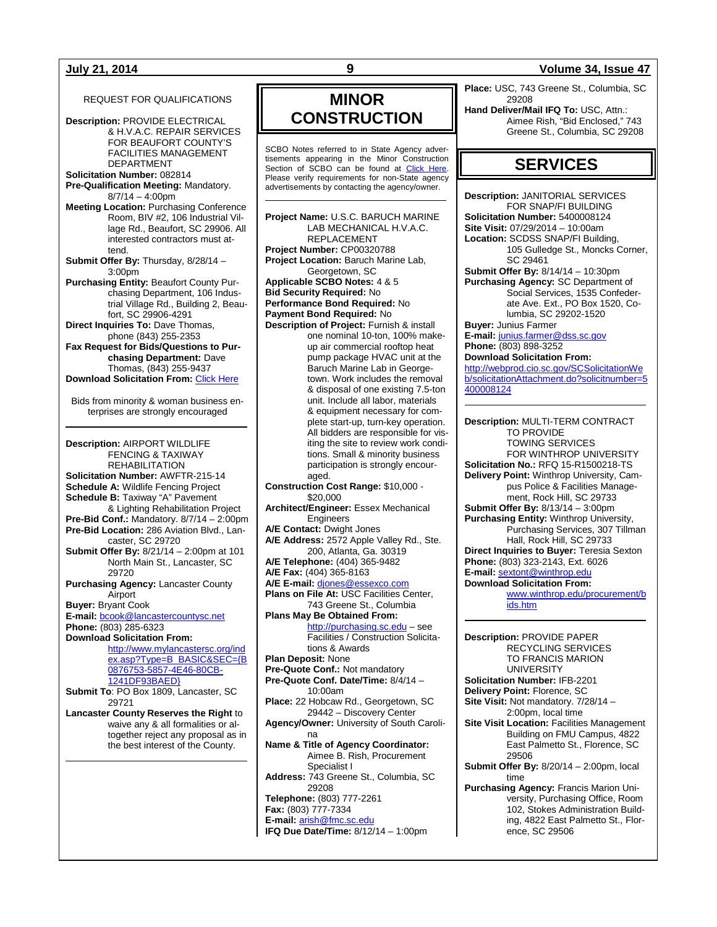## REQUEST FOR QUALIFICATIONS

**Description:** PROVIDE ELECTRICAL & H.V.A.C. REPAIR SERVICES FOR BEAUFORT COUNTY'S FACILITIES MANAGEMENT DEPARTMENT

**Solicitation Number:** 082814 **Pre-Qualification Meeting:** Mandatory.

 $8/7/14 - 4:00$ pm **Meeting Location:** Purchasing Conference Room, BIV #2, 106 Industrial Village Rd., Beaufort, SC 29906. All interested contractors must at-

tend. **Submit Offer By:** Thursday, 8/28/14 – 3:00pm

**Purchasing Entity:** Beaufort County Purchasing Department, 106 Industrial Village Rd., Building 2, Beaufort, SC 29906-4291

**Direct Inquiries To:** Dave Thomas, phone (843) 255-2353

**Fax Request for Bids/Questions to Purchasing Department:** Dave Thomas, (843) 255-9437 **Download Solicitation From:** [Click Here](http://www.co.beaufort.sc.us/departments/Finance/purchasing/current-bids-pop.php)

Bids from minority & woman business enterprises are strongly encouraged

**Description:** AIRPORT WILDLIFE FENCING & TAXIWAY REHABILITATION **Solicitation Number:** AWFTR-215-14 **Schedule A:** Wildlife Fencing Project **Schedule B:** Taxiway "A" Pavement & Lighting Rehabilitation Project **Pre-Bid Conf.:** Mandatory. 8/7/14 – 2:00pm **Pre-Bid Location:** 286 Aviation Blvd., Lancaster, SC 29720 **Submit Offer By:** 8/21/14 – 2:00pm at 101 North Main St., Lancaster, SC 29720 **Purchasing Agency:** Lancaster County Airport **Buyer:** Bryant Cook **E-mail:** [bcook@lancastercountysc.net](mailto:bcook@lancastercountysc.net) **Phone:** (803) 285-6323 **Download Solicitation From:** [http://www.mylancastersc.org/ind](http://www.mylancastersc.org/index.asp?Type=B_BASIC&SEC=%7bB0876753-5857-4E46-80CB-1241DF93BAED%7d) [ex.asp?Type=B\\_BASIC&SEC={B](http://www.mylancastersc.org/index.asp?Type=B_BASIC&SEC=%7bB0876753-5857-4E46-80CB-1241DF93BAED%7d) [0876753-5857-4E46-80CB-](http://www.mylancastersc.org/index.asp?Type=B_BASIC&SEC=%7bB0876753-5857-4E46-80CB-1241DF93BAED%7d)[1241DF93BAED}](http://www.mylancastersc.org/index.asp?Type=B_BASIC&SEC=%7bB0876753-5857-4E46-80CB-1241DF93BAED%7d) **Submit To**: PO Box 1809, Lancaster, SC 29721 **Lancaster County Reserves the Right** to waive any & all formalities or altogether reject any proposal as in the best interest of the County.

## **MINOR CONSTRUCTION**

SCBO Notes referred to in State Agency advertisements appearing in the Minor Construction Section of SCBO can be found at [Click Here.](http://www.mmo.sc.gov/PS/general/scbo/SCBO_Notes_060512.pdf) Please verify requirements for non-State agency advertisements by contacting the agency/owner.

**Project Name:** U.S.C. BARUCH MARINE LAB MECHANICAL H.V.A.C. REPLACEMENT **Project Number:** CP00320788 **Project Location:** Baruch Marine Lab, Georgetown, SC **Applicable SCBO Notes:** 4 & 5 **Bid Security Required:** No **Performance Bond Required:** No **Payment Bond Required:** No **Description of Project:** Furnish & install one nominal 10-ton, 100% makeup air commercial rooftop heat pump package HVAC unit at the Baruch Marine Lab in Georgetown. Work includes the removal & disposal of one existing 7.5-ton unit. Include all labor, materials & equipment necessary for complete start-up, turn-key operation. All bidders are responsible for visiting the site to review work conditions. Small & minority business participation is strongly encouraged. **Construction Cost Range:** \$10,000 - \$20,000 **Architect/Engineer:** Essex Mechanical Engineers **A/E Contact:** Dwight Jones **A/E Address:** 2572 Apple Valley Rd., Ste. 200, Atlanta, Ga. 30319 **A/E Telephone:** (404) 365-9482 **A/E Fax:** (404) 365-8163 **A/E E-mail:** [djones@essexco.com](mailto:djones@essexco.com) **Plans on File At:** USC Facilities Center, 743 Greene St., Columbia **Plans May Be Obtained From:** [http://purchasing.sc.edu](http://purchasing.sc.edu/) – see Facilities / Construction Solicitations & Awards **Plan Deposit:** None **Pre-Quote Conf.:** Not mandatory **Pre-Quote Conf. Date/Time:** 8/4/14 – 10:00am **Place:** 22 Hobcaw Rd., Georgetown, SC 29442 – Discovery Center **Agency/Owner:** University of South Carolina **Name & Title of Agency Coordinator:** Aimee B. Rish, Procurement Specialist I **Address:** 743 Greene St., Columbia, SC 29208 **Telephone:** (803) 777-2261 **Fax:** (803) 777-7334 **E-mail:** [arish@fmc.sc.edu](mailto:arish@fmc.sc.edu) **IFQ Due Date/Time:** 8/12/14 – 1:00pm

## **July 21, 2014 9 Volume 34, Issue 47**

**Place:** USC, 743 Greene St., Columbia, SC 29208

**Hand Deliver/Mail IFQ To:** USC, Attn.: Aimee Rish, "Bid Enclosed," 743 Greene St., Columbia, SC 29208

## **SERVICES**

**Description:** JANITORIAL SERVICES FOR SNAP/FI BUILDING **Solicitation Number:** 5400008124 **Site Visit:** 07/29/2014 – 10:00am **Location:** SCDSS SNAP/FI Building, 105 Gulledge St., Moncks Corner, SC 29461 **Submit Offer By:** 8/14/14 – 10:30pm **Purchasing Agency:** SC Department of Social Services, 1535 Confederate Ave. Ext., PO Box 1520, Columbia, SC 29202-1520 **Buyer:** Junius Farmer **E-mail:** [junius.farmer@dss.sc.gov](mailto:junius.farmer@dss.sc.gov) **Phone:** (803) 898-3252

**Download Solicitation From:** [http://webprod.cio.sc.gov/SCSolicitationWe](http://webprod.cio.sc.gov/SCSolicitationWeb/solicitationAttachment.do?solicitnumber=5400008124) [b/solicitationAttachment.do?solicitnumber=5](http://webprod.cio.sc.gov/SCSolicitationWeb/solicitationAttachment.do?solicitnumber=5400008124) [400008124](http://webprod.cio.sc.gov/SCSolicitationWeb/solicitationAttachment.do?solicitnumber=5400008124)

**Description:** MULTI-TERM CONTRACT TO PROVIDE TOWING SERVICES FOR WINTHROP UNIVERSITY **Solicitation No.:** RFQ 15-R1500218-TS **Delivery Point:** Winthrop University, Campus Police & Facilities Management, Rock Hill, SC 29733 **Submit Offer By:** 8/13/14 – 3:00pm **Purchasing Entity:** Winthrop University, Purchasing Services, 307 Tillman Hall, Rock Hill, SC 29733 **Direct Inquiries to Buyer:** Teresia Sexton **Phone:** (803) 323-2143, Ext. 6026 **E-mail:** [sextont@winthrop.edu](mailto:sextont@winthrop.edu) **Download Solicitation From:**  [www.winthrop.edu/procurement/b](http://www.winthrop.edu/procurement/bids.htm) [ids.htm](http://www.winthrop.edu/procurement/bids.htm)

**Description:** PROVIDE PAPER RECYCLING SERVICES TO FRANCIS MARION UNIVERSITY **Solicitation Number:** IFB-2201 **Delivery Point:** Florence, SC **Site Visit:** Not mandatory. 7/28/14 – 2:00pm, local time **Site Visit Location:** Facilities Management Building on FMU Campus, 4822 East Palmetto St., Florence, SC 29506 **Submit Offer By:** 8/20/14 – 2:00pm, local time **Purchasing Agency:** Francis Marion University, Purchasing Office, Room 102, Stokes Administration Building, 4822 East Palmetto St., Florence, SC 29506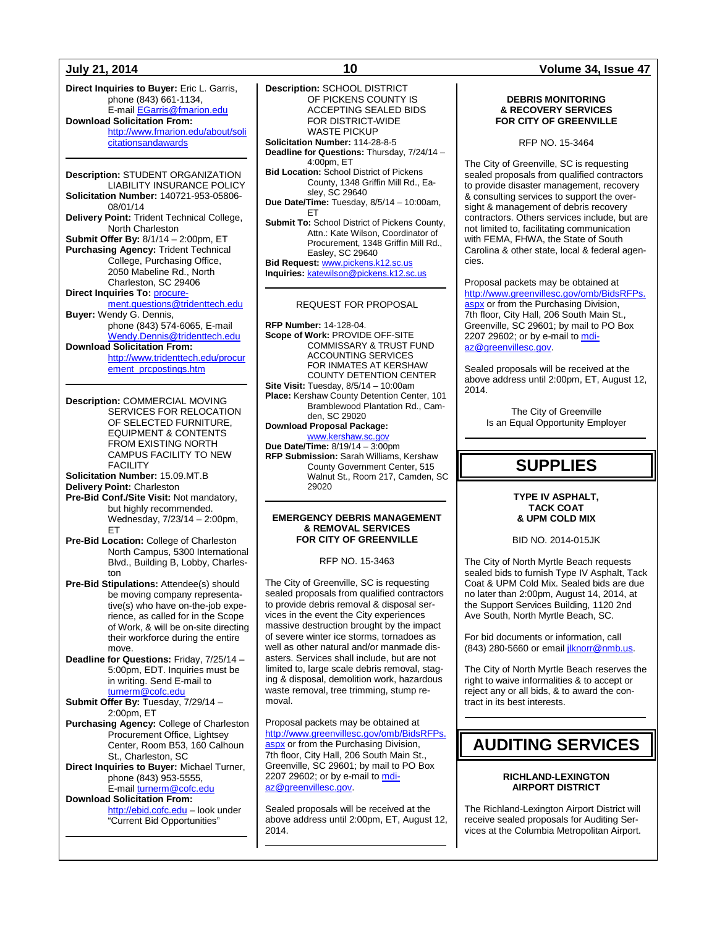## **July 21, 2014 10 Volume 34, Issue 47**

**Direct Inquiries to Buyer:** Eric L. Garris, phone (843) 661-1134, E-mail [EGarris@fmarion.edu](mailto:EGarris@fmarion.edu) **Download Solicitation From:** [http://www.fmarion.edu/about/soli](http://www.fmarion.edu/about/solicitationsandawards) [citationsandawards](http://www.fmarion.edu/about/solicitationsandawards)

**Description:** STUDENT ORGANIZATION LIABILITY INSURANCE POLICY **Solicitation Number:** 140721-953-05806- 08/01/14 **Delivery Point:** Trident Technical College, North Charleston **Submit Offer By:** 8/1/14 – 2:00pm, ET **Purchasing Agency:** Trident Technical College, Purchasing Office, 2050 Mabeline Rd., North Charleston, SC 29406 **Direct Inquiries To:** [procure](mailto:procurement.questions@tridenttech.edu)[ment.questions@tridenttech.edu](mailto:procurement.questions@tridenttech.edu) **Buyer:** Wendy G. Dennis, phone (843) 574-6065, E-mail [Wendy.Dennis@tridenttech.edu](mailto:Wendy.Dennis@tridenttech.edu) **Download Solicitation From:**

[http://www.tridenttech.edu/procur](http://www.tridenttech.edu/procurement_prcpostings.htm) [ement\\_prcpostings.htm](http://www.tridenttech.edu/procurement_prcpostings.htm)

**Description:** COMMERCIAL MOVING SERVICES FOR RELOCATION OF SELECTED FURNITURE, EQUIPMENT & CONTENTS FROM EXISTING NORTH CAMPUS FACILITY TO NEW FACILITY **Solicitation Number:** 15.09.MT.B

**Delivery Point:** Charleston

- **Pre-Bid Conf./Site Visit:** Not mandatory, but highly recommended. Wednesday, 7/23/14 – 2:00pm, ET
- **Pre-Bid Location:** College of Charleston North Campus, 5300 International Blvd., Building B, Lobby, Charleston
- **Pre-Bid Stipulations:** Attendee(s) should be moving company representative(s) who have on-the-job experience, as called for in the Scope of Work, & will be on-site directing their workforce during the entire move.
- **Deadline for Questions:** Friday, 7/25/14 5:00pm, EDT. Inquiries must be in writing. Send E-mail to [turnerm@cofc.edu](mailto:turnerm@cofc.edu)
- **Submit Offer By:** Tuesday, 7/29/14 2:00pm, ET
- **Purchasing Agency:** College of Charleston Procurement Office, Lightsey Center, Room B53, 160 Calhoun St., Charleston, SC
- **Direct Inquiries to Buyer:** Michael Turner, phone (843) 953-5555, E-mail [turnerm@cofc.edu](mailto:turnerm@cofc.edu)

## **Download Solicitation From:**

[http://ebid.cofc.edu](http://ebid.cofc.edu/) – look under "Current Bid Opportunities"

**Description:** SCHOOL DISTRICT OF PICKENS COUNTY IS ACCEPTING SEALED BIDS FOR DISTRICT-WIDE WASTE PICKUP **Solicitation Number:** 114-28-8-5 **Deadline for Questions:** Thursday, 7/24/14 – 4:00pm, ET **Bid Location:** School District of Pickens County, 1348 Griffin Mill Rd., Easley, SC 29640 **Due Date/Time:** Tuesday, 8/5/14 – 10:00am, ET **Submit To:** School District of Pickens County, Attn.: Kate Wilson, Coordinator of Procurement, 1348 Griffin Mill Rd., Easley, SC 29640 **Bid Request:** [www.pickens.k12.sc.us](http://www.pickens.k12.sc.us/) **Inquiries:** [katewilson@pickens.k12.sc.us](mailto:katewilson@pickens.k12.sc.us) REQUEST FOR PROPOSAL **RFP Number:** 14-128-04. **Scope of Work:** PROVIDE OFF-SITE COMMISSARY & TRUST FUND ACCOUNTING SERVICES

FOR INMATES AT KERSHAW COUNTY DETENTION CENTER **Site Visit:** Tuesday, 8/5/14 – 10:00am **Place:** Kershaw County Detention Center, 101 Bramblewood Plantation Rd., Camden, SC 29020 **Download Proposal Package:**

[www.kershaw.sc.gov](http://www.kershaw.sc.gov/) **Due Date/Time:** 8/19/14 – 3:00pm **RFP Submission:** Sarah Williams, Kershaw County Government Center, 515 Walnut St., Room 217, Camden, SC 29020

### **EMERGENCY DEBRIS MANAGEMENT & REMOVAL SERVICES FOR CITY OF GREENVILLE**

RFP NO. 15-3463

The City of Greenville, SC is requesting sealed proposals from qualified contractors to provide debris removal & disposal services in the event the City experiences massive destruction brought by the impact of severe winter ice storms, tornadoes as well as other natural and/or manmade disasters. Services shall include, but are not limited to, large scale debris removal, staging & disposal, demolition work, hazardous waste removal, tree trimming, stump removal.

Proposal packets may be obtained at [http://www.greenvillesc.gov/omb/BidsRFPs.](http://www.greenvillesc.gov/omb/BidsRFPs.aspx) [aspx](http://www.greenvillesc.gov/omb/BidsRFPs.aspx) or from the Purchasing Division, 7th floor, City Hall, 206 South Main St., Greenville, SC 29601; by mail to PO Box 2207 29602; or by e-mail to [mdi](mailto:mdiaz@greenvillesc.gov)[az@greenvillesc.gov.](mailto:mdiaz@greenvillesc.gov)

Sealed proposals will be received at the above address until 2:00pm, ET, August 12, 2014.

### **DEBRIS MONITORING & RECOVERY SERVICES FOR CITY OF GREENVILLE**

RFP NO. 15-3464

The City of Greenville, SC is requesting sealed proposals from qualified contractors to provide disaster management, recovery & consulting services to support the oversight & management of debris recovery contractors. Others services include, but are not limited to, facilitating communication with FEMA, FHWA, the State of South Carolina & other state, local & federal agencies.

Proposal packets may be obtained at [http://www.greenvillesc.gov/omb/BidsRFPs.](http://www.greenvillesc.gov/omb/BidsRFPs.aspx) [aspx](http://www.greenvillesc.gov/omb/BidsRFPs.aspx) or from the Purchasing Division, 7th floor, City Hall, 206 South Main St., Greenville, SC 29601; by mail to PO Box 2207 29602; or by e-mail to [mdi](mailto:mdiaz@greenvillesc.gov)[az@greenvillesc.gov.](mailto:mdiaz@greenvillesc.gov)

Sealed proposals will be received at the above address until 2:00pm, ET, August 12, 2014.

> The City of Greenville Is an Equal Opportunity Employer

## **SUPPLIES**

## **TYPE IV ASPHALT, TACK COAT & UPM COLD MIX**

BID NO. 2014-015JK

The City of North Myrtle Beach requests sealed bids to furnish Type IV Asphalt, Tack Coat & UPM Cold Mix. Sealed bids are due no later than 2:00pm, August 14, 2014, at the Support Services Building, 1120 2nd Ave South, North Myrtle Beach, SC.

For bid documents or information, call (843) 280-5660 or email *jlknorr@nmb.us.* 

The City of North Myrtle Beach reserves the right to waive informalities & to accept or reject any or all bids, & to award the contract in its best interests.

## **AUDITING SERVICES**

## **RICHLAND-LEXINGTON AIRPORT DISTRICT**

The Richland-Lexington Airport District will receive sealed proposals for Auditing Services at the Columbia Metropolitan Airport.